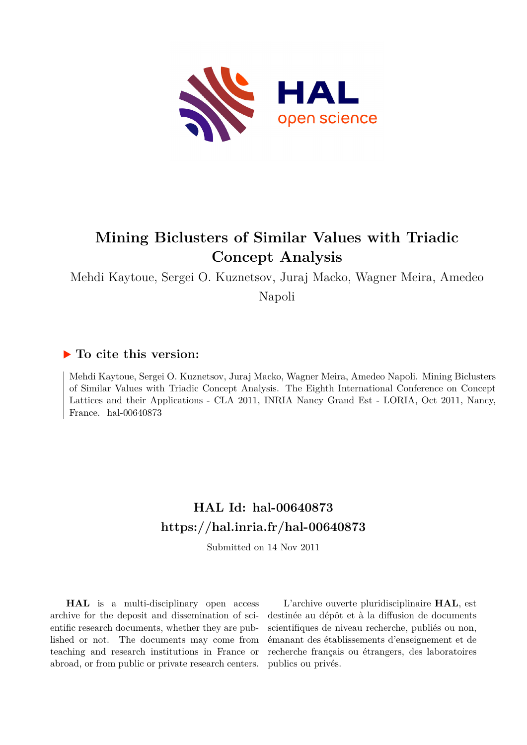

# **Mining Biclusters of Similar Values with Triadic Concept Analysis**

Mehdi Kaytoue, Sergei O. Kuznetsov, Juraj Macko, Wagner Meira, Amedeo

Napoli

# **To cite this version:**

Mehdi Kaytoue, Sergei O. Kuznetsov, Juraj Macko, Wagner Meira, Amedeo Napoli. Mining Biclusters of Similar Values with Triadic Concept Analysis. The Eighth International Conference on Concept Lattices and their Applications - CLA 2011, INRIA Nancy Grand Est - LORIA, Oct 2011, Nancy, France. hal- $00640873$ 

# **HAL Id: hal-00640873 <https://hal.inria.fr/hal-00640873>**

Submitted on 14 Nov 2011

**HAL** is a multi-disciplinary open access archive for the deposit and dissemination of scientific research documents, whether they are published or not. The documents may come from teaching and research institutions in France or abroad, or from public or private research centers.

L'archive ouverte pluridisciplinaire **HAL**, est destinée au dépôt et à la diffusion de documents scientifiques de niveau recherche, publiés ou non, émanant des établissements d'enseignement et de recherche français ou étrangers, des laboratoires publics ou privés.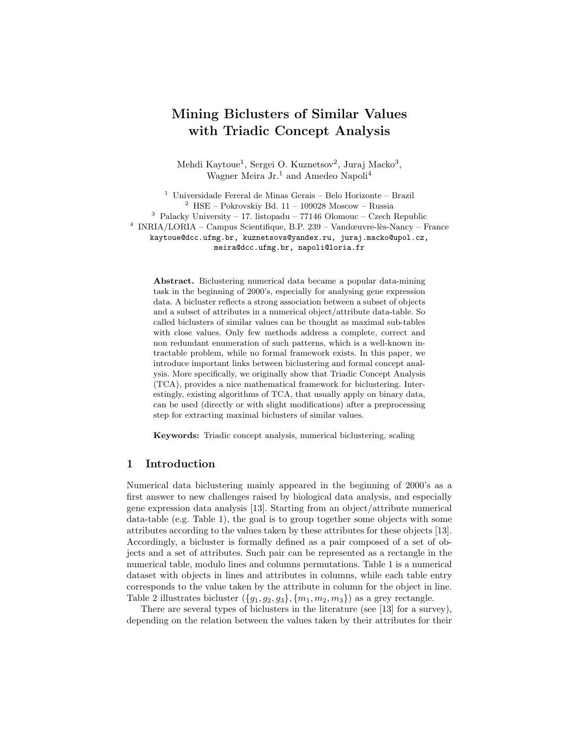# Mining Biclusters of Similar Values with Triadic Concept Analysis

Mehdi Kaytoue<sup>1</sup>, Sergei O. Kuznetsov<sup>2</sup>, Juraj Macko<sup>3</sup>, Wagner Meira Jr.<sup>1</sup> and Amedeo Napoli<sup>4</sup>

<sup>1</sup> Universidade Fereral de Minas Gerais – Belo Horizonte – Brazil  $2$  HSE – Pokrovskiy Bd. 11 – 109028 Moscow – Russia  $3$  Palacky University – 17. listopadu – 77146 Olomouc – Czech Republic <sup>4</sup> INRIA/LORIA – Campus Scientifique, B.P. 239 – Vandœuvre-lès-Nancy – France kaytoue@dcc.ufmg.br, kuznetsovs@yandex.ru, juraj.macko@upol.cz, meira@dcc.ufmg.br, napoli@loria.fr

Abstract. Biclustering numerical data became a popular data-mining task in the beginning of 2000's, especially for analysing gene expression data. A bicluster reflects a strong association between a subset of objects and a subset of attributes in a numerical object/attribute data-table. So called biclusters of similar values can be thought as maximal sub-tables with close values. Only few methods address a complete, correct and non redundant enumeration of such patterns, which is a well-known intractable problem, while no formal framework exists. In this paper, we introduce important links between biclustering and formal concept analysis. More specifically, we originally show that Triadic Concept Analysis (TCA), provides a nice mathematical framework for biclustering. Interestingly, existing algorithms of TCA, that usually apply on binary data, can be used (directly or with slight modifications) after a preprocessing step for extracting maximal biclusters of similar values.

Keywords: Triadic concept analysis, numerical biclustering, scaling

#### 1 Introduction

Numerical data biclustering mainly appeared in the beginning of 2000's as a first answer to new challenges raised by biological data analysis, and especially gene expression data analysis [13]. Starting from an object/attribute numerical data-table (e.g. Table 1), the goal is to group together some objects with some attributes according to the values taken by these attributes for these objects [13]. Accordingly, a bicluster is formally defined as a pair composed of a set of objects and a set of attributes. Such pair can be represented as a rectangle in the numerical table, modulo lines and columns permutations. Table 1 is a numerical dataset with objects in lines and attributes in columns, while each table entry corresponds to the value taken by the attribute in column for the object in line. Table 2 illustrates bicluster  $({g_1, g_2, g_3}, {m_1, m_2, m_3})$  as a grey rectangle.

There are several types of biclusters in the literature (see [13] for a survey), depending on the relation between the values taken by their attributes for their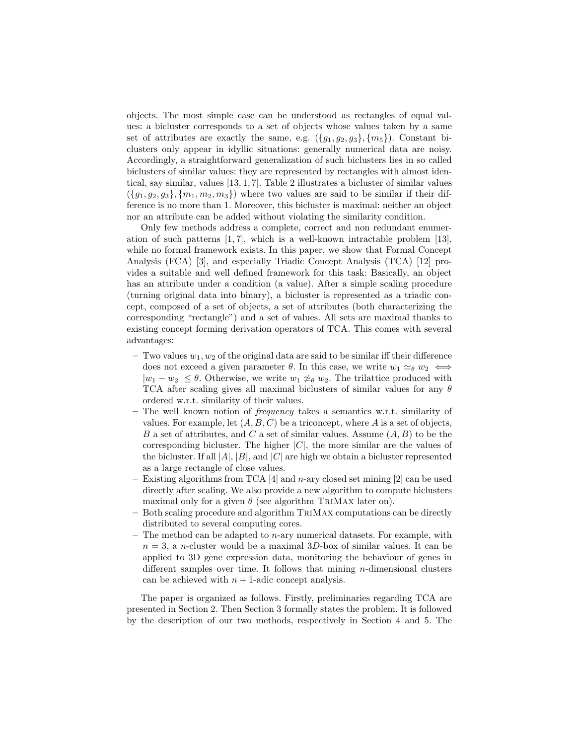objects. The most simple case can be understood as rectangles of equal values: a bicluster corresponds to a set of objects whose values taken by a same set of attributes are exactly the same, e.g.  $({g_1, g_2, g_3}, {m_5})$ . Constant biclusters only appear in idyllic situations: generally numerical data are noisy. Accordingly, a straightforward generalization of such biclusters lies in so called biclusters of similar values: they are represented by rectangles with almost identical, say similar, values [13, 1, 7]. Table 2 illustrates a bicluster of similar values  $({q_1, q_2, q_3}, {m_1, m_2, m_3})$  where two values are said to be similar if their difference is no more than 1. Moreover, this bicluster is maximal: neither an object nor an attribute can be added without violating the similarity condition.

Only few methods address a complete, correct and non redundant enumeration of such patterns  $[1, 7]$ , which is a well-known intractable problem  $[13]$ , while no formal framework exists. In this paper, we show that Formal Concept Analysis (FCA) [3], and especially Triadic Concept Analysis (TCA) [12] provides a suitable and well defined framework for this task: Basically, an object has an attribute under a condition (a value). After a simple scaling procedure (turning original data into binary), a bicluster is represented as a triadic concept, composed of a set of objects, a set of attributes (both characterizing the corresponding "rectangle") and a set of values. All sets are maximal thanks to existing concept forming derivation operators of TCA. This comes with several advantages:

- $-$  Two values  $w_1, w_2$  of the original data are said to be similar iff their difference does not exceed a given parameter  $\theta$ . In this case, we write  $w_1 \simeq_{\theta} w_2 \iff$  $|w_1 - w_2| \leq \theta$ . Otherwise, we write  $w_1 \not\approx_{\theta} w_2$ . The trilattice produced with TCA after scaling gives all maximal biclusters of similar values for any  $\theta$ ordered w.r.t. similarity of their values.
- The well known notion of frequency takes a semantics w.r.t. similarity of values. For example, let  $(A, B, C)$  be a triconcept, where A is a set of objects, B a set of attributes, and C a set of similar values. Assume  $(A, B)$  to be the corresponding bicluster. The higher  $|C|$ , the more similar are the values of the bicluster. If all  $|A|$ ,  $|B|$ , and  $|C|$  are high we obtain a bicluster represented as a large rectangle of close values.
- Existing algorithms from TCA [4] and n-ary closed set mining [2] can be used directly after scaling. We also provide a new algorithm to compute biclusters maximal only for a given  $\theta$  (see algorithm TRIMAX later on).
- Both scaling procedure and algorithm TriMax computations can be directly distributed to several computing cores.
- The method can be adapted to  $n$ -ary numerical datasets. For example, with  $n = 3$ , a n-cluster would be a maximal  $3D$ -box of similar values. It can be applied to 3D gene expression data, monitoring the behaviour of genes in different samples over time. It follows that mining  $n$ -dimensional clusters can be achieved with  $n + 1$ -adic concept analysis.

The paper is organized as follows. Firstly, preliminaries regarding TCA are presented in Section 2. Then Section 3 formally states the problem. It is followed by the description of our two methods, respectively in Section 4 and 5. The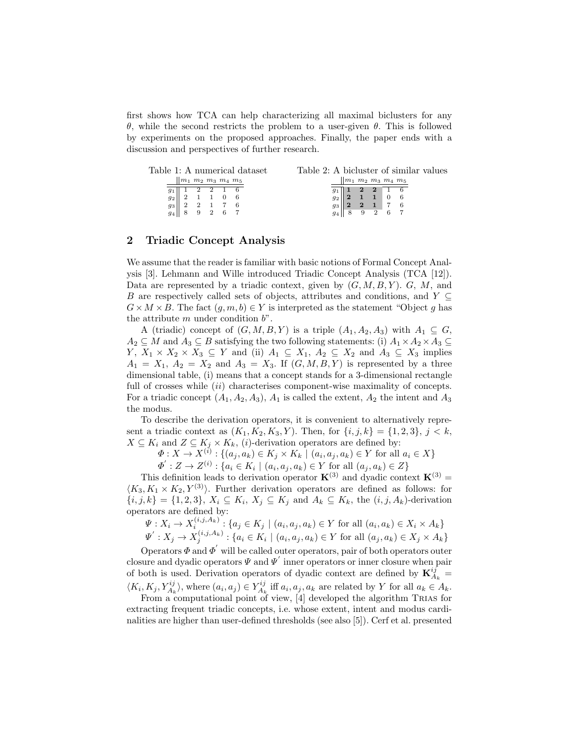first shows how TCA can help characterizing all maximal biclusters for any θ, while the second restricts the problem to a user-given θ. This is followed by experiments on the proposed approaches. Finally, the paper ends with a discussion and perspectives of further research.

|       |                        |  |         | Table 1: A numerical dataset |  |  |                                                                                           |  | Table 2: A bicluster of similar values |  |
|-------|------------------------|--|---------|------------------------------|--|--|-------------------------------------------------------------------------------------------|--|----------------------------------------|--|
|       | $ m_1 m_2 m_3 m_4 m_5$ |  |         |                              |  |  | $\ m_1\; m_2\; m_3\; m_4\; m_5$                                                           |  |                                        |  |
| $g_1$ |                        |  | 2 2 1 6 |                              |  |  |                                                                                           |  |                                        |  |
| $g_2$ |                        |  |         |                              |  |  | $\begin{array}{ c c c c c }\n\hline\n1 & 2 & 2 & 1 & 6 \\ 2 & 1 & 1 & 0 & 6\n\end{array}$ |  |                                        |  |
| 93    |                        |  |         |                              |  |  |                                                                                           |  |                                        |  |
| 94    |                        |  |         |                              |  |  |                                                                                           |  |                                        |  |

#### 2 Triadic Concept Analysis

We assume that the reader is familiar with basic notions of Formal Concept Analysis [3]. Lehmann and Wille introduced Triadic Concept Analysis (TCA [12]). Data are represented by a triadic context, given by  $(G, M, B, Y)$ . G, M, and B are respectively called sets of objects, attributes and conditions, and  $Y \subseteq$  $G \times M \times B$ . The fact  $(q, m, b) \in Y$  is interpreted as the statement "Object q has the attribute  $m$  under condition  $b$ ".

A (triadic) concept of  $(G, M, B, Y)$  is a triple  $(A_1, A_2, A_3)$  with  $A_1 \subseteq G$ ,  $A_2 \subseteq M$  and  $A_3 \subseteq B$  satisfying the two following statements: (i)  $A_1 \times A_2 \times A_3 \subseteq$  $Y, X_1 \times X_2 \times X_3 \subseteq Y$  and (ii)  $A_1 \subseteq X_1, A_2 \subseteq X_2$  and  $A_3 \subseteq X_3$  implies  $A_1 = X_1, A_2 = X_2$  and  $A_3 = X_3$ . If  $(G, M, B, Y)$  is represented by a three dimensional table, (i) means that a concept stands for a 3-dimensional rectangle full of crosses while (ii) characterises component-wise maximality of concepts. For a triadic concept  $(A_1, A_2, A_3)$ ,  $A_1$  is called the extent,  $A_2$  the intent and  $A_3$ the modus.

To describe the derivation operators, it is convenient to alternatively represent a triadic context as  $(K_1, K_2, K_3, Y)$ . Then, for  $\{i, j, k\} = \{1, 2, 3\}, j < k$ ,  $X \subseteq K_i$  and  $Z \subseteq K_j \times K_k$ , (*i*)-derivation operators are defined by:

 $\Phi: X \to X^{(i)} : \{(a_j, a_k) \in K_j \times K_k \mid (a_i, a_j, a_k) \in Y \text{ for all } a_i \in X\}$ 

 $\Phi' : Z \to Z^{(i)} : \{a_i \in K_i \mid (a_i, a_j, a_k) \in Y \text{ for all } (a_j, a_k) \in Z\}$ 

This definition leads to derivation operator  $\mathbf{K}^{(3)}$  and dyadic context  $\mathbf{K}^{(3)}$  =  $\langle K_3, K_1 \times K_2, Y^{(3)} \rangle$ . Further derivation operators are defined as follows: for  $\{i, j, k\} = \{1, 2, 3\}, X_i \subseteq K_i, X_j \subseteq K_j \text{ and } A_k \subseteq K_k, \text{ the } (i, j, A_k)\text{-derivation}$ operators are defined by:

$$
\Psi: X_i \to X_i^{(i,j,A_k)}: \{a_j \in K_j \mid (a_i, a_j, a_k) \in Y \text{ for all } (a_i, a_k) \in X_i \times A_k\}
$$
  

$$
\Psi': X_j \to X_j^{(i,j,A_k)}: \{a_i \in K_i \mid (a_i, a_j, a_k) \in Y \text{ for all } (a_j, a_k) \in X_j \times A_k\}
$$

Operators  $\Phi$  and  $\Phi'$  will be called outer operators, pair of both operators outer closure and dyadic operators  $\Psi$  and  $\Psi'$  inner operators or inner closure when pair of both is used. Derivation operators of dyadic context are defined by  $\mathbf{K}_{A_k}^{ij} =$  $\langle K_i, K_j, Y_{A_k}^{ij} \rangle$ , where  $(a_i, a_j) \in Y_{A_k}^{ij}$  iff  $a_i, a_j, a_k$  are related by Y for all  $a_k \in A_k$ .

From a computational point of view,  $[4]$  developed the algorithm TRIAS for extracting frequent triadic concepts, i.e. whose extent, intent and modus cardinalities are higher than user-defined thresholds (see also [5]). Cerf et al. presented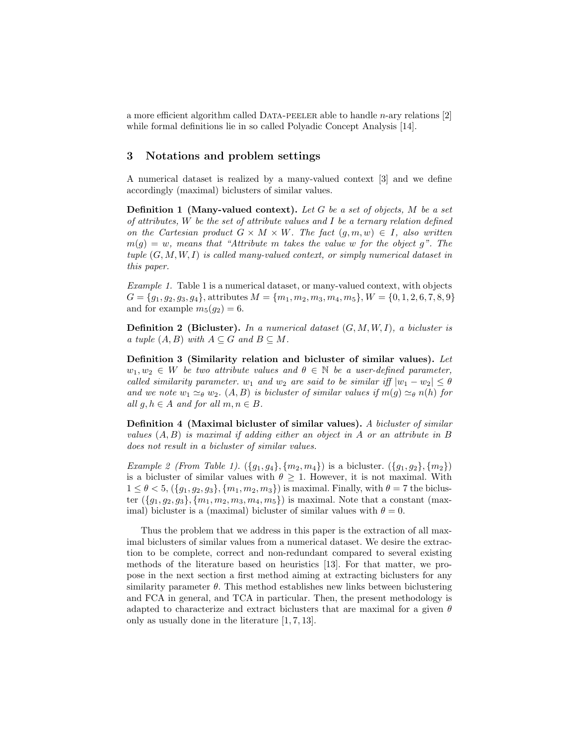a more efficient algorithm called Data-peeler able to handle n-ary relations [2] while formal definitions lie in so called Polyadic Concept Analysis [14].

### 3 Notations and problem settings

A numerical dataset is realized by a many-valued context [3] and we define accordingly (maximal) biclusters of similar values.

**Definition 1** (Many-valued context). Let G be a set of objects, M be a set of attributes,  $W$  be the set of attribute values and  $I$  be a ternary relation defined on the Cartesian product  $G \times M \times W$ . The fact  $(g, m, w) \in I$ , also written  $m(g) = w$ , means that "Attribute m takes the value w for the object g". The tuple  $(G, M, W, I)$  is called many-valued context, or simply numerical dataset in this paper.

Example 1. Table 1 is a numerical dataset, or many-valued context, with objects  $G = \{g_1, g_2, g_3, g_4\},\$ attributes  $M = \{m_1, m_2, m_3, m_4, m_5\}, W = \{0, 1, 2, 6, 7, 8, 9\}$ and for example  $m_5(q_2)=6$ .

**Definition 2 (Bicluster).** In a numerical dataset  $(G, M, W, I)$ , a bicluster is a tuple  $(A, B)$  with  $A \subseteq G$  and  $B \subseteq M$ .

Definition 3 (Similarity relation and bicluster of similar values). Let  $w_1, w_2 \in W$  be two attribute values and  $\theta \in \mathbb{N}$  be a user-defined parameter, called similarity parameter.  $w_1$  and  $w_2$  are said to be similar iff  $|w_1 - w_2| \le \theta$ and we note  $w_1 \simeq_{\theta} w_2$ .  $(A, B)$  is bicluster of similar values if  $m(g) \simeq_{\theta} n(h)$  for all  $g, h \in A$  and for all  $m, n \in B$ .

Definition 4 (Maximal bicluster of similar values). A bicluster of similar values  $(A, B)$  is maximal if adding either an object in A or an attribute in B does not result in a bicluster of similar values.

*Example 2 (From Table 1).*  $({g_1, g_4}, {m_2, m_4})$  is a bicluster.  $({g_1, g_2}, {m_2})$ is a bicluster of similar values with  $\theta \geq 1$ . However, it is not maximal. With  $1 \le \theta < 5$ ,  $({g_1, g_2, g_3}, {m_1, m_2, m_3})$  is maximal. Finally, with  $\theta = 7$  the bicluster  $({g_1, g_2, g_3}, {m_1, m_2, m_3, m_4, m_5})$  is maximal. Note that a constant (maximal) bicluster is a (maximal) bicluster of similar values with  $\theta = 0$ .

Thus the problem that we address in this paper is the extraction of all maximal biclusters of similar values from a numerical dataset. We desire the extraction to be complete, correct and non-redundant compared to several existing methods of the literature based on heuristics [13]. For that matter, we propose in the next section a first method aiming at extracting biclusters for any similarity parameter  $\theta$ . This method establishes new links between biclustering and FCA in general, and TCA in particular. Then, the present methodology is adapted to characterize and extract biclusters that are maximal for a given  $\theta$ only as usually done in the literature [1, 7, 13].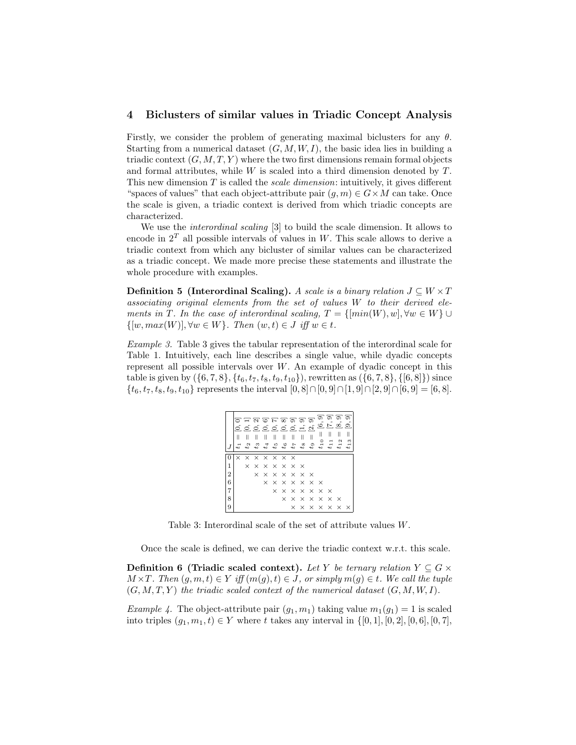#### 4 Biclusters of similar values in Triadic Concept Analysis

Firstly, we consider the problem of generating maximal biclusters for any  $\theta$ . Starting from a numerical dataset  $(G, M, W, I)$ , the basic idea lies in building a triadic context  $(G, M, T, Y)$  where the two first dimensions remain formal objects and formal attributes, while  $W$  is scaled into a third dimension denoted by  $T$ . This new dimension  $T$  is called the *scale dimension*: intuitively, it gives different "spaces of values" that each object-attribute pair  $(g, m) \in G \times M$  can take. Once the scale is given, a triadic context is derived from which triadic concepts are characterized.

We use the interordinal scaling [3] to build the scale dimension. It allows to encode in  $2<sup>T</sup>$  all possible intervals of values in W. This scale allows to derive a triadic context from which any bicluster of similar values can be characterized as a triadic concept. We made more precise these statements and illustrate the whole procedure with examples.

**Definition 5** (Interordinal Scaling). A scale is a binary relation  $J \subseteq W \times T$ associating original elements from the set of values W to their derived elements in T. In the case of interordinal scaling,  $T = \{[min(W), w], \forall w \in W\} \cup$  $\{[w, max(W)], \forall w \in W\}$ . Then  $(w, t) \in J$  iff  $w \in t$ .

Example 3. Table 3 gives the tabular representation of the interordinal scale for Table 1. Intuitively, each line describes a single value, while dyadic concepts represent all possible intervals over  $W$ . An example of dyadic concept in this table is given by  $(\{6, 7, 8\}, \{t_6, t_7, t_8, t_9, t_{10}\})$ , rewritten as  $(\{6, 7, 8\}, \{[6, 8]\})$  since  $\{t_6, t_7, t_8, t_9, t_{10}\}$  represents the interval  $[0, 8] \cap [0, 9] \cap [1, 9] \cap [2, 9] \cap [6, 9] = [6, 8].$ 

|                | Ш<br>17  | $t_2$ |  | កក្តាច្រាត្តទាត<br>த்தித்தித்திருந்த<br>1100720       |  |  | ಾ<br>ِ گ<br>$t_{10}$                                  | ာ ၁<br>$\overline{z}$ $\overline{z}$<br>$t_{11}$      | $t_{\rm 12}$                                          | ං<br>ಾ<br>$t_{13}$ |
|----------------|----------|-------|--|-------------------------------------------------------|--|--|-------------------------------------------------------|-------------------------------------------------------|-------------------------------------------------------|--------------------|
|                | $\times$ |       |  | $\times$ $\times$ $\times$ $\times$ $\times$          |  |  |                                                       |                                                       |                                                       |                    |
| 1              |          |       |  | $\times$ $\times$ $\times$ $\times$ $\times$ $\times$ |  |  |                                                       |                                                       |                                                       |                    |
| $\overline{2}$ |          |       |  | $\times$ $\times$ $\times$ $\times$ $\times$ $\times$ |  |  |                                                       |                                                       |                                                       |                    |
| 6              |          |       |  | $\times$ $\times$ $\times$ $\times$ $\times$ $\times$ |  |  |                                                       |                                                       |                                                       |                    |
| 7              |          |       |  |                                                       |  |  | $\times$ $\times$ $\times$ $\times$ $\times$ $\times$ |                                                       |                                                       |                    |
| 8              |          |       |  |                                                       |  |  |                                                       | $\times$ $\times$ $\times$ $\times$ $\times$ $\times$ |                                                       |                    |
|                |          |       |  |                                                       |  |  |                                                       |                                                       | $\times$ $\times$ $\times$ $\times$ $\times$ $\times$ |                    |

Table 3: Interordinal scale of the set of attribute values W.

Once the scale is defined, we can derive the triadic context w.r.t. this scale.

**Definition 6 (Triadic scaled context).** Let Y be ternary relation  $Y \subseteq G \times$  $M \times T$ . Then  $(g, m, t) \in Y$  iff  $(m(g), t) \in J$ , or simply  $m(g) \in t$ . We call the tuple  $(G, M, T, Y)$  the triadic scaled context of the numerical dataset  $(G, M, W, I)$ .

*Example 4.* The object-attribute pair  $(q_1, m_1)$  taking value  $m_1(q_1) = 1$  is scaled into triples  $(g_1, m_1, t) \in Y$  where t takes any interval in  $\{[0, 1], [0, 2], [0, 6], [0, 7],$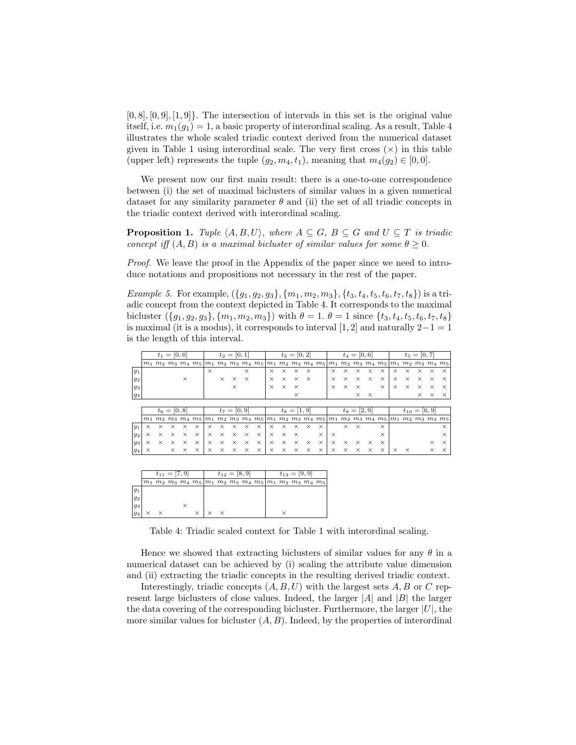$[0, 8], [0, 9], [1, 9]$ . The intersection of intervals in this set is the original value itself, i.e.  $m_1(g_1) = 1$ , a basic property of interordinal scaling. As a result, Table 4 illustrates the whole scaled triadic context derived from the numerical dataset given in Table 1 using interordinal scale. The very first cross  $(x)$  in this table (upper left) represents the tuple  $(g_2, m_4, t_1)$ , meaning that  $m_4(g_2) \in [0, 0]$ .

We present now our first main result: there is a one-to-one correspondence between (i) the set of maximal biclusters of similar values in a given numerical dataset for any similarity parameter  $\theta$  and (ii) the set of all triadic concepts in the triadic context derived with interordinal scaling.

**Proposition 1.** Tuple  $\langle A, B, U \rangle$ , where  $A \subseteq G$ ,  $B \subseteq G$  and  $U \subseteq T$  is triadic concept iff  $(A, B)$  is a maximal bicluster of similar values for some  $\theta \geq 0$ .

Proof. We leave the proof in the Appendix of the paper since we need to introduce notations and propositions not necessary in the rest of the paper.

*Example 5.* For example,  $({g_1, g_2, g_3}, {m_1, m_2, m_3}, {t_3, t_4, t_5, t_6, t_7, t_8})$  is a triadic concept from the context depicted in Table 4. It corresponds to the maximal bicluster  $({g_1, g_2, g_3}, {m_1, m_2, m_3})$  with  $\theta = 1$ .  $\theta = 1$  since  ${t_3, t_4, t_5, t_6, t_7, t_8}$ is maximal (it is a modus), it corresponds to interval [1, 2] and naturally  $2-1=1$ is the length of this interval.

|         |          |          | $t_1 = [0, 0]$ |          |                               | $t_2=[0,1]$    |          |          |          |                                                                                                                               |                | $t_3=[0,2]$ |          |          |                |          |          | $t_4=[0,6]$ |          |                                     | $t_5=[0,7]$ |          |                         |          |          |
|---------|----------|----------|----------------|----------|-------------------------------|----------------|----------|----------|----------|-------------------------------------------------------------------------------------------------------------------------------|----------------|-------------|----------|----------|----------------|----------|----------|-------------|----------|-------------------------------------|-------------|----------|-------------------------|----------|----------|
|         |          |          |                |          | $m_1$ $m_2$ $m_3$ $m_4$ $m_5$ | m <sub>1</sub> |          |          |          | $m_2$ $m_3$ $m_4$ $m_5$ $m_1$ $m_2$ $m_3$ $m_4$ $m_5$                                                                         |                |             |          |          |                |          |          |             |          | $m_1$ $m_2$ $m_3$ $m_4$ $m_5$ $m_1$ |             |          | $m_2$ $m_3$ $m_4$ $m_5$ |          |          |
| $g_1$   |          |          |                |          |                               | $\times$       |          |          | $\times$ |                                                                                                                               | $\times$       | $\times$    | $\times$ | $\times$ |                | $\times$ | $\times$ | $\times$    | $\times$ | $\times$                            | $\times$    | $\times$ | $\times$                | $\times$ | $\times$ |
| 92      |          |          |                | $\times$ |                               |                | $\times$ | $\times$ | $\times$ |                                                                                                                               | $\times$       | $\times$    | $\times$ | $\times$ |                | $\times$ | $\times$ | $\times$    | $\times$ | $\times$                            | $\times$    | $\times$ | $\times$                | $\times$ | $\times$ |
| 93      |          |          |                |          |                               |                |          | $\times$ |          |                                                                                                                               | $\times$       | $\times$    | $\times$ |          |                | $\times$ | $\times$ | $\times$    |          | $\times$                            | $\times$    | $\times$ | $\times$                | $\times$ | $\times$ |
| 94      |          |          |                |          |                               |                |          |          |          |                                                                                                                               |                |             | $\times$ |          |                |          |          | $\times$    | $\times$ |                                     |             |          | $\times$                | $\times$ | $\times$ |
|         |          |          |                |          |                               |                |          |          |          |                                                                                                                               |                |             |          |          |                |          |          |             |          |                                     |             |          |                         |          |          |
|         |          |          | $t_6=[0,8]$    |          |                               | $t_7=[0,9]$    |          |          |          |                                                                                                                               | $t_8 = [1, 9]$ |             |          |          | $t_9 = [2, 9]$ |          |          |             |          | $t_{10} = [6, 9]$                   |             |          |                         |          |          |
|         |          |          |                |          |                               |                |          |          |          | $m_1$ $m_2$ $m_3$ $m_4$ $m_5$ $m_1$ $m_2$ $m_3$ $m_4$ $m_5$ $m_1$ $m_2$ $m_3$ $m_4$ $m_5$ $m_1$ $m_2$ $m_3$ $m_4$ $m_5$ $m_1$ |                |             |          |          |                |          |          |             |          |                                     |             |          | $m_2$ $m_3$ $m_4$ $m_5$ |          |          |
|         |          |          |                |          |                               |                |          |          |          |                                                                                                                               |                |             |          |          |                |          |          |             |          |                                     |             |          |                         |          |          |
| $g_1$   | $\times$ | $\times$ | $\times$       | $\times$ | $\times$                      | $\times$       | $\times$ | $\times$ | $\times$ | $\times$                                                                                                                      | $\times$       | $\times$    | ×        | $\times$ | $\times$       |          | $\times$ | $\times$    |          | $\times$                            |             |          |                         |          | $\times$ |
| 92      | $\times$ | $\times$ | $\times$       | $\times$ | $\times$                      | $\times$       | $\times$ | $\times$ | $\times$ | $\times$                                                                                                                      | $\times$       | $\times$    | $\times$ |          | $\times$       | $\times$ |          |             |          | $\times$                            |             |          |                         |          | $\times$ |
| 93      | $\times$ | $\times$ | $\times$       | $\times$ | $\times$                      | $\times$       | $\times$ | $\times$ | $\times$ | $\times$                                                                                                                      | $\times$       | $\times$    | $\times$ | $\times$ | $\times$       | $\times$ | $\times$ | $\times$    | $\times$ | $\times$                            |             |          |                         | $\times$ | $\times$ |
| $ g_4 $ | $\times$ |          | $\times$       | $\times$ | $\times$                      | $\times$       | $\times$ | $\times$ | $\times$ | $\times$                                                                                                                      | $\times$       | $\times$    | $\times$ | $\times$ | $\times$       | $\times$ | $\times$ | $\times$    | $\times$ | $\times$                            | $\times$    | $\times$ |                         | $\times$ | $\times$ |
|         |          |          |                |          |                               |                |          |          |          |                                                                                                                               |                |             |          |          |                |          |          |             |          |                                     |             |          |                         |          |          |
|         |          |          |                |          |                               |                |          |          |          |                                                                                                                               |                |             |          |          |                |          |          |             |          |                                     |             |          |                         |          |          |

|       |  | $t_{11} = [7, 9]$ |  |  | $t_{12} = 8, 9$                                                                           |  | $t_{13} =  9, 9 $ |  |  |  |  |  |  |  |
|-------|--|-------------------|--|--|-------------------------------------------------------------------------------------------|--|-------------------|--|--|--|--|--|--|--|
|       |  |                   |  |  | $m_1$ $m_2$ $m_3$ $m_4$ $m_5$ $m_1$ $m_2$ $m_3$ $m_4$ $m_5$ $m_1$ $m_2$ $m_3$ $m_4$ $m_5$ |  |                   |  |  |  |  |  |  |  |
| $g_1$ |  |                   |  |  |                                                                                           |  |                   |  |  |  |  |  |  |  |
| 92    |  |                   |  |  |                                                                                           |  |                   |  |  |  |  |  |  |  |
| 93    |  |                   |  |  |                                                                                           |  |                   |  |  |  |  |  |  |  |
| 94    |  |                   |  |  |                                                                                           |  |                   |  |  |  |  |  |  |  |

Table 4: Triadic scaled context for Table 1 with interordinal scaling.

Hence we showed that extracting biclusters of similar values for any  $\theta$  in a numerical dataset can be achieved by (i) scaling the attribute value dimension and (ii) extracting the triadic concepts in the resulting derived triadic context.

Interestingly, triadic concepts  $(A, B, U)$  with the largest sets  $A, B$  or C represent large biclusters of close values. Indeed, the larger  $|A|$  and  $|B|$  the larger the data covering of the corresponding bicluster. Furthermore, the larger  $|U|$ , the more similar values for bicluster  $(A, B)$ . Indeed, by the properties of interordinal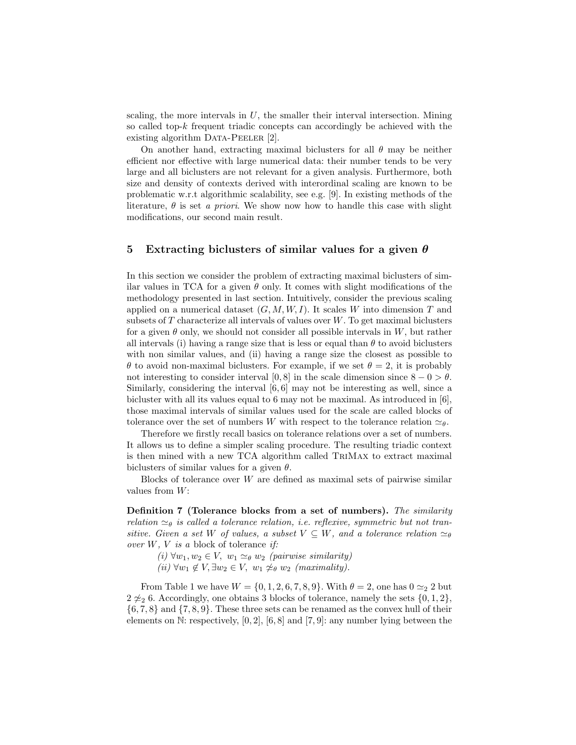scaling, the more intervals in  $U$ , the smaller their interval intersection. Mining so called top-k frequent triadic concepts can accordingly be achieved with the existing algorithm DATA-PEELER [2].

On another hand, extracting maximal biclusters for all  $\theta$  may be neither efficient nor effective with large numerical data: their number tends to be very large and all biclusters are not relevant for a given analysis. Furthermore, both size and density of contexts derived with interordinal scaling are known to be problematic w.r.t algorithmic scalability, see e.g. [9]. In existing methods of the literature,  $\theta$  is set a priori. We show now how to handle this case with slight modifications, our second main result.

#### 5 Extracting biclusters of similar values for a given  $\theta$

In this section we consider the problem of extracting maximal biclusters of similar values in TCA for a given  $\theta$  only. It comes with slight modifications of the methodology presented in last section. Intuitively, consider the previous scaling applied on a numerical dataset  $(G, M, W, I)$ . It scales W into dimension T and subsets of  $T$  characterize all intervals of values over  $W$ . To get maximal biclusters for a given  $\theta$  only, we should not consider all possible intervals in W, but rather all intervals (i) having a range size that is less or equal than  $\theta$  to avoid biclusters with non similar values, and (ii) having a range size the closest as possible to  $\theta$  to avoid non-maximal biclusters. For example, if we set  $\theta = 2$ , it is probably not interesting to consider interval [0, 8] in the scale dimension since  $8 - 0 > \theta$ . Similarly, considering the interval  $[6, 6]$  may not be interesting as well, since a bicluster with all its values equal to 6 may not be maximal. As introduced in [6], those maximal intervals of similar values used for the scale are called blocks of tolerance over the set of numbers W with respect to the tolerance relation  $\simeq_{\theta}$ .

Therefore we firstly recall basics on tolerance relations over a set of numbers. It allows us to define a simpler scaling procedure. The resulting triadic context is then mined with a new TCA algorithm called TriMax to extract maximal biclusters of similar values for a given  $\theta$ .

Blocks of tolerance over W are defined as maximal sets of pairwise similar values from  $W$ :

Definition 7 (Tolerance blocks from a set of numbers). The similarity relation  $\approx_{\theta}$  is called a tolerance relation, i.e. reflexive, symmetric but not transitive. Given a set W of values, a subset  $V \subseteq W$ , and a tolerance relation  $\simeq_{\theta}$ over  $W, V$  is a block of tolerance if:

(i)  $\forall w_1, w_2 \in V$ ,  $w_1 \simeq_{\theta} w_2$  (pairwise similarity)

(ii)  $\forall w_1 \notin V, \exists w_2 \in V, w_1 \not\approx_{\theta} w_2$  (maximality).

From Table 1 we have  $W = \{0, 1, 2, 6, 7, 8, 9\}$ . With  $\theta = 2$ , one has  $0 \approx 2$  but  $2 \not\approx_2 6$ . Accordingly, one obtains 3 blocks of tolerance, namely the sets  $\{0, 1, 2\}$ ,  $\{6, 7, 8\}$  and  $\{7, 8, 9\}$ . These three sets can be renamed as the convex hull of their elements on N: respectively, [0, 2], [6, 8] and [7, 9]: any number lying between the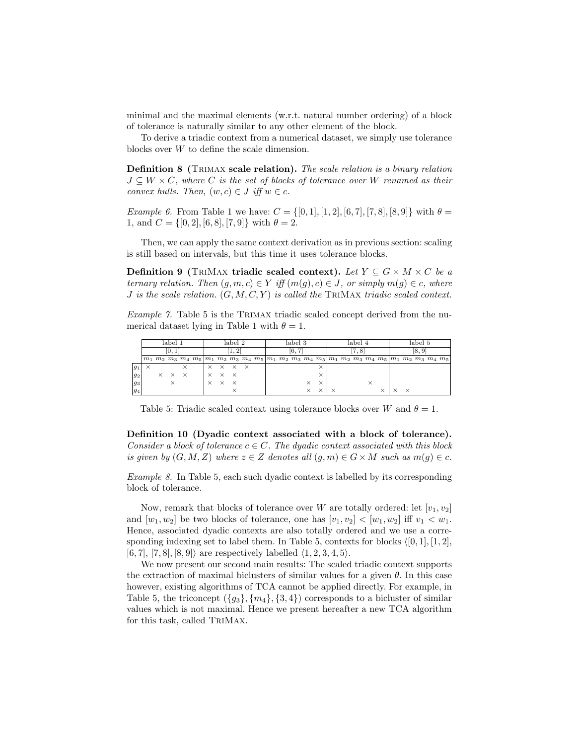minimal and the maximal elements (w.r.t. natural number ordering) of a block of tolerance is naturally similar to any other element of the block.

To derive a triadic context from a numerical dataset, we simply use tolerance blocks over W to define the scale dimension.

Definition 8 (Trimax scale relation). The scale relation is a binary relation  $J \subseteq W \times C$ , where C is the set of blocks of tolerance over W renamed as their convex hulls. Then,  $(w, c) \in J$  iff  $w \in c$ .

*Example 6.* From Table 1 we have:  $C = \{[0, 1], [1, 2], [6, 7], [7, 8], [8, 9]\}$  with  $\theta =$ 1, and  $C = \{[0, 2], [6, 8], [7, 9]\}$  with  $\theta = 2$ .

Then, we can apply the same context derivation as in previous section: scaling is still based on intervals, but this time it uses tolerance blocks.

Definition 9 (TRIMAX triadic scaled context). Let  $Y \subseteq G \times M \times C$  be a ternary relation. Then  $(g, m, c) \in Y$  iff  $(m(g), c) \in J$ , or simply  $m(g) \in c$ , where J is the scale relation.  $(G, M, C, Y)$  is called the TRIMAX triadic scaled context.

Example 7. Table 5 is the Trimax triadic scaled concept derived from the numerical dataset lying in Table 1 with  $\theta = 1$ .

|         |       |  | label 1 |  |                                                       | label 2 |              |         |  |  |  | label 3                                                                                                                                                |       |                   |   |  | label 4 |       |  |  |                   | label 5 |        |  |  |  |
|---------|-------|--|---------|--|-------------------------------------------------------|---------|--------------|---------|--|--|--|--------------------------------------------------------------------------------------------------------------------------------------------------------|-------|-------------------|---|--|---------|-------|--|--|-------------------|---------|--------|--|--|--|
|         | 10, 1 |  |         |  |                                                       |         |              |         |  |  |  |                                                                                                                                                        | 16, 7 |                   |   |  |         | [7.8] |  |  |                   |         | [8, 9] |  |  |  |
|         |       |  |         |  |                                                       |         |              |         |  |  |  | $ m_1   m_2   m_3   m_4   m_5   m_1   m_2   m_3   m_4   m_5   m_1   m_2   m_3   m_4   m_5   m_1   m_2   m_3   m_4   m_5   m_1   m_2   m_3   m_4   m_5$ |       |                   |   |  |         |       |  |  |                   |         |        |  |  |  |
| $ g_1 $ |       |  |         |  |                                                       |         |              | x x x x |  |  |  |                                                                                                                                                        |       |                   | × |  |         |       |  |  |                   |         |        |  |  |  |
| $ g_2 $ |       |  |         |  | $\times$ $\times$ $\times$ $\times$ $\times$ $\times$ |         |              |         |  |  |  |                                                                                                                                                        |       |                   |   |  |         |       |  |  |                   |         |        |  |  |  |
| $ g_3 $ |       |  |         |  |                                                       |         | $X \times X$ |         |  |  |  |                                                                                                                                                        |       | $\times$ $\times$ |   |  |         |       |  |  |                   |         |        |  |  |  |
| $ g_4 $ |       |  |         |  |                                                       |         |              |         |  |  |  |                                                                                                                                                        |       | $\times$          | × |  |         |       |  |  | $\times$ $\times$ |         |        |  |  |  |

Table 5: Triadic scaled context using tolerance blocks over W and  $\theta = 1$ .

Definition 10 (Dyadic context associated with a block of tolerance). Consider a block of tolerance  $c \in C$ . The dyadic context associated with this block is given by  $(G, M, Z)$  where  $z \in Z$  denotes all  $(q, m) \in G \times M$  such as  $m(q) \in c$ .

Example 8. In Table 5, each such dyadic context is labelled by its corresponding block of tolerance.

Now, remark that blocks of tolerance over W are totally ordered: let  $[v_1, v_2]$ and  $[w_1, w_2]$  be two blocks of tolerance, one has  $[v_1, v_2] < [w_1, w_2]$  iff  $v_1 < w_1$ . Hence, associated dyadic contexts are also totally ordered and we use a corresponding indexing set to label them. In Table 5, contexts for blocks  $\langle [0, 1], [1, 2], \rangle$ [6, 7], [7, 8], [8, 9]) are respectively labelled  $(1, 2, 3, 4, 5)$ .

We now present our second main results: The scaled triadic context supports the extraction of maximal biclusters of similar values for a given  $\theta$ . In this case however, existing algorithms of TCA cannot be applied directly. For example, in Table 5, the triconcept  $({g_3}, {m_4}, {3, 4})$  corresponds to a bicluster of similar values which is not maximal. Hence we present hereafter a new TCA algorithm for this task, called TriMax.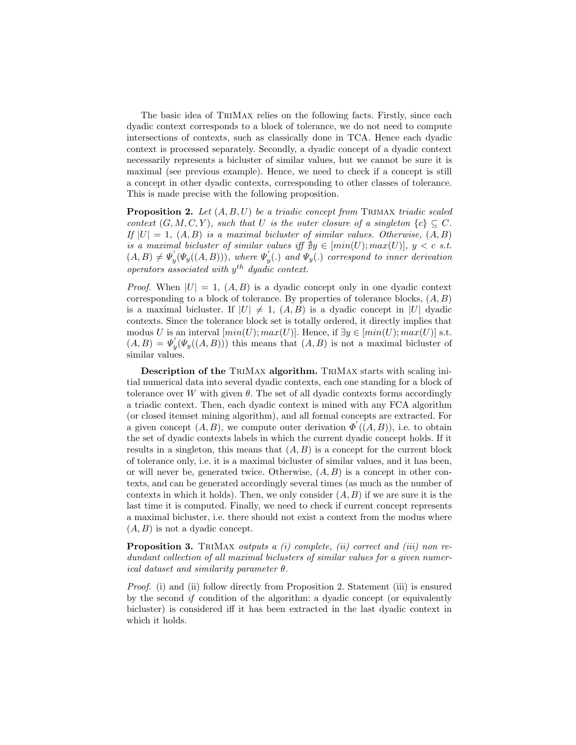The basic idea of TriMax relies on the following facts. Firstly, since each dyadic context corresponds to a block of tolerance, we do not need to compute intersections of contexts, such as classically done in TCA. Hence each dyadic context is processed separately. Secondly, a dyadic concept of a dyadic context necessarily represents a bicluster of similar values, but we cannot be sure it is maximal (see previous example). Hence, we need to check if a concept is still a concept in other dyadic contexts, corresponding to other classes of tolerance. This is made precise with the following proposition.

**Proposition 2.** Let  $(A, B, U)$  be a triadic concept from TRIMAX triadic scaled context  $(G, M, C, Y)$ , such that U is the outer closure of a singleton  $\{c\} \subseteq C$ . If  $|U| = 1$ ,  $(A, B)$  is a maximal bicluster of similar values. Otherwise,  $(A, B)$ is a maximal bicluster of similar values iff  $\exists y \in [min(U); max(U)], y < c$  s.t.  $(A, B) \neq \Psi'_v$  $\mathcal{L}'_y(\Psi_y((A, B)))$ , where  $\Psi'_y$  $\Psi_y(.)$  and  $\Psi_y(.)$  correspond to inner derivation operators associated with  $y^{th}$  dyadic context.

*Proof.* When  $|U| = 1$ ,  $(A, B)$  is a dyadic concept only in one dyadic context corresponding to a block of tolerance. By properties of tolerance blocks,  $(A, B)$ is a maximal bicluster. If  $|U| \neq 1$ ,  $(A, B)$  is a dyadic concept in |U| dyadic contexts. Since the tolerance block set is totally ordered, it directly implies that modus U is an interval  $(min(U); max(U)]$ . Hence, if  $\exists y \in [min(U); max(U)]$  s.t.  $(A, B) = \Psi'_v$  $\mathcal{H}_y(\Psi_y((A, B)))$  this means that  $(A, B)$  is not a maximal bicluster of similar values.

Description of the TriMax algorithm. TriMax starts with scaling initial numerical data into several dyadic contexts, each one standing for a block of tolerance over W with given  $\theta$ . The set of all dyadic contexts forms accordingly a triadic context. Then, each dyadic context is mined with any FCA algorithm (or closed itemset mining algorithm), and all formal concepts are extracted. For a given concept  $(A, B)$ , we compute outer derivation  $\Phi'((A, B))$ , i.e. to obtain the set of dyadic contexts labels in which the current dyadic concept holds. If it results in a singleton, this means that  $(A, B)$  is a concept for the current block of tolerance only, i.e. it is a maximal bicluster of similar values, and it has been, or will never be, generated twice. Otherwise,  $(A, B)$  is a concept in other contexts, and can be generated accordingly several times (as much as the number of contexts in which it holds). Then, we only consider  $(A, B)$  if we are sure it is the last time it is computed. Finally, we need to check if current concept represents a maximal bicluster, i.e. there should not exist a context from the modus where  $(A, B)$  is not a dyadic concept.

**Proposition 3.** TRIMAX outputs a (i) complete, (ii) correct and (iii) non redundant collection of all maximal biclusters of similar values for a given numerical dataset and similarity parameter  $\theta$ .

Proof. (i) and (ii) follow directly from Proposition 2. Statement (iii) is ensured by the second if condition of the algorithm: a dyadic concept (or equivalently bicluster) is considered iff it has been extracted in the last dyadic context in which it holds.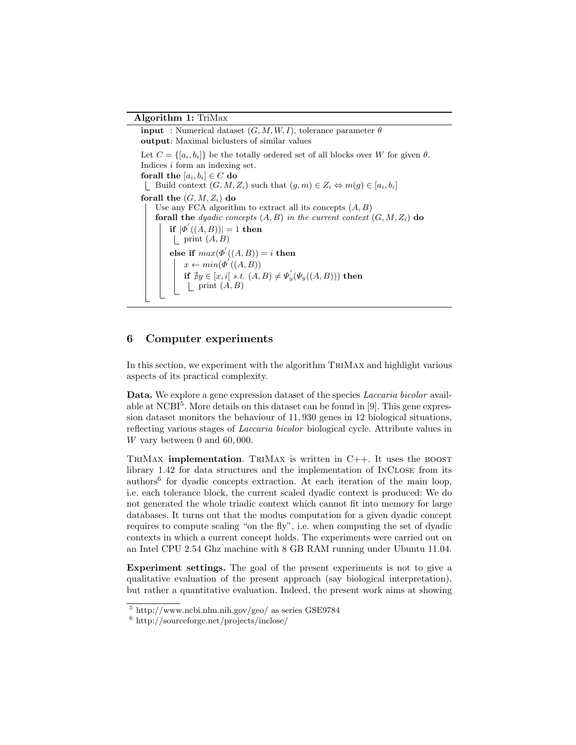#### Algorithm 1: TriMax

**input** : Numerical dataset  $(G, M, W, I)$ , tolerance parameter  $\theta$ output: Maximal biclusters of similar values Let  $C = \{[a_i, b_i]\}$  be the totally ordered set of all blocks over W for given  $\theta$ . Indices i form an indexing set. forall the  $[a_i, b_i] \in C$  do Build context  $(G, M, Z_i)$  such that  $(g, m) \in Z_i \Leftrightarrow m(g) \in [a_i, b_i]$ forall the  $(G, M, Z_i)$  do Use any FCA algorithm to extract all its concepts  $(A, B)$ forall the dyadic concepts  $(A, B)$  in the current context  $(G, M, Z_i)$  do if  $|\varPhi'((A, B))| = 1$  then | print  $(A, B)$ else if  $max(\Phi^{'}((A,B))=i$  then  $x \leftarrow min(\Phi'((A, B)))$ if  $\exists y \in [x, i[$  s.t.  $(A, B) \neq \Psi'_y(\Psi_y((A, B)))$  then | print  $(A, B)$ 

## 6 Computer experiments

In this section, we experiment with the algorithm TriMax and highlight various aspects of its practical complexity.

Data. We explore a gene expression dataset of the species *Laccaria bicolor* available at NCBI<sup>5</sup>. More details on this dataset can be found in [9]. This gene expression dataset monitors the behaviour of 11, 930 genes in 12 biological situations, reflecting various stages of Laccaria bicolor biological cycle. Attribute values in W vary between 0 and 60, 000.

TRIMAX **implementation**. TRIMAX is written in  $C_{++}$ . It uses the BOOST library 1.42 for data structures and the implementation of InClose from its authors<sup>6</sup> for dyadic concepts extraction. At each iteration of the main loop, i.e. each tolerance block, the current scaled dyadic context is produced: We do not generated the whole triadic context which cannot fit into memory for large databases. It turns out that the modus computation for a given dyadic concept requires to compute scaling "on the fly", i.e. when computing the set of dyadic contexts in which a current concept holds. The experiments were carried out on an Intel CPU 2.54 Ghz machine with 8 GB RAM running under Ubuntu 11.04.

Experiment settings. The goal of the present experiments is not to give a qualitative evaluation of the present approach (say biological interpretation), but rather a quantitative evaluation. Indeed, the present work aims at showing

 $5 \text{ http://www.ncbi.nlm.nih.gov/geo/} as series GSE9784$ 

<sup>6</sup> http://sourceforge.net/projects/inclose/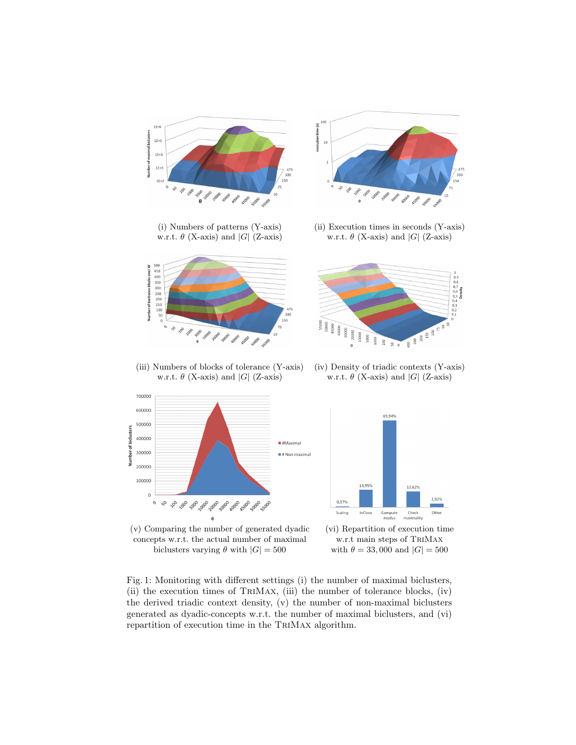

biclusters varying  $\theta$  with  $|G| = 500$  with  $\theta = 33,000$  and  $|G| = 500$ 

Fig. 1: Monitoring with different settings (i) the number of maximal biclusters, (ii) the execution times of TriMax, (iii) the number of tolerance blocks, (iv) the derived triadic context density, (v) the number of non-maximal biclusters generated as dyadic-concepts w.r.t. the number of maximal biclusters, and (vi) repartition of execution time in the TriMax algorithm.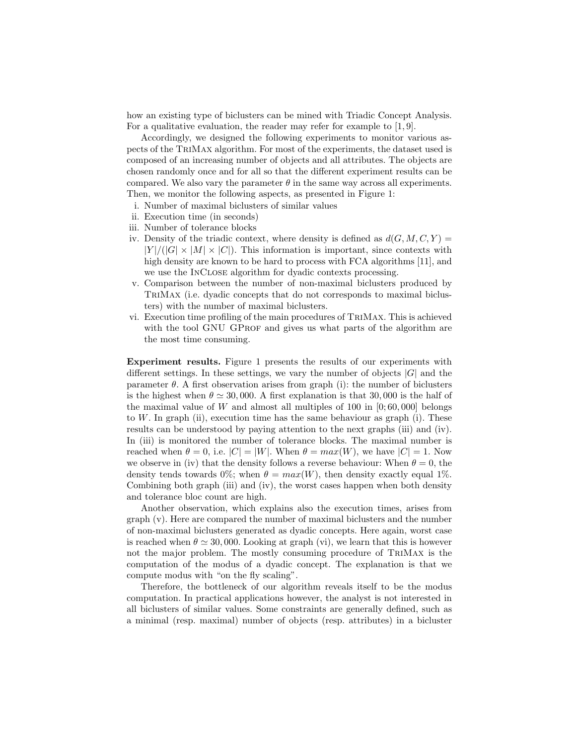how an existing type of biclusters can be mined with Triadic Concept Analysis. For a qualitative evaluation, the reader may refer for example to [1, 9].

Accordingly, we designed the following experiments to monitor various aspects of the TriMax algorithm. For most of the experiments, the dataset used is composed of an increasing number of objects and all attributes. The objects are chosen randomly once and for all so that the different experiment results can be compared. We also vary the parameter  $\theta$  in the same way across all experiments. Then, we monitor the following aspects, as presented in Figure 1:

- i. Number of maximal biclusters of similar values
- ii. Execution time (in seconds)
- iii. Number of tolerance blocks
- iv. Density of the triadic context, where density is defined as  $d(G, M, C, Y) =$  $|Y|/(|G| \times |M| \times |C|)$ . This information is important, since contexts with high density are known to be hard to process with FCA algorithms [11], and we use the InClose algorithm for dyadic contexts processing.
- v. Comparison between the number of non-maximal biclusters produced by TriMax (i.e. dyadic concepts that do not corresponds to maximal biclusters) with the number of maximal biclusters.
- vi. Execution time profiling of the main procedures of TriMax. This is achieved with the tool GNU GPROF and gives us what parts of the algorithm are the most time consuming.

Experiment results. Figure 1 presents the results of our experiments with different settings. In these settings, we vary the number of objects  $|G|$  and the parameter  $\theta$ . A first observation arises from graph (i): the number of biclusters is the highest when  $\theta \simeq 30,000$ . A first explanation is that 30,000 is the half of the maximal value of W and almost all multiples of 100 in  $[0; 60, 000]$  belongs to  $W$ . In graph (ii), execution time has the same behaviour as graph (i). These results can be understood by paying attention to the next graphs (iii) and (iv). In (iii) is monitored the number of tolerance blocks. The maximal number is reached when  $\theta = 0$ , i.e.  $|C| = |W|$ . When  $\theta = max(W)$ , we have  $|C| = 1$ . Now we observe in (iv) that the density follows a reverse behaviour: When  $\theta = 0$ , the density tends towards 0%; when  $\theta = max(W)$ , then density exactly equal 1%. Combining both graph (iii) and (iv), the worst cases happen when both density and tolerance bloc count are high.

Another observation, which explains also the execution times, arises from graph (v). Here are compared the number of maximal biclusters and the number of non-maximal biclusters generated as dyadic concepts. Here again, worst case is reached when  $\theta \simeq 30,000$ . Looking at graph (vi), we learn that this is however not the major problem. The mostly consuming procedure of TriMax is the computation of the modus of a dyadic concept. The explanation is that we compute modus with "on the fly scaling".

Therefore, the bottleneck of our algorithm reveals itself to be the modus computation. In practical applications however, the analyst is not interested in all biclusters of similar values. Some constraints are generally defined, such as a minimal (resp. maximal) number of objects (resp. attributes) in a bicluster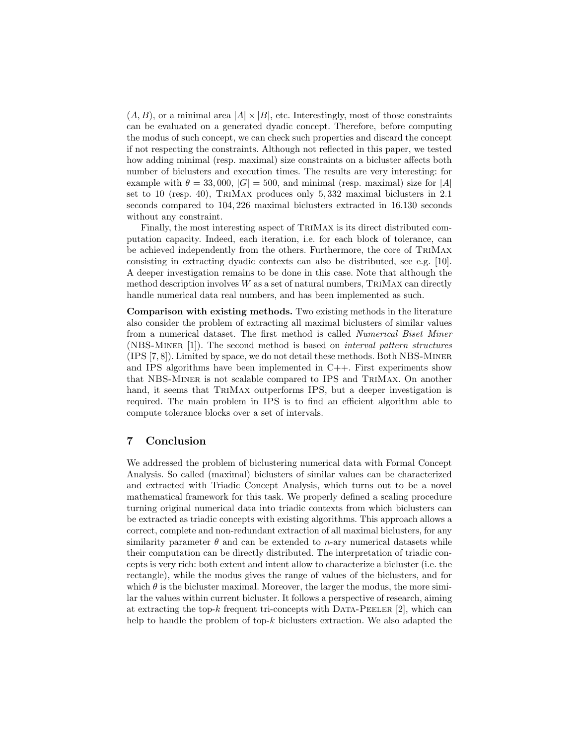$(A, B)$ , or a minimal area  $|A| \times |B|$ , etc. Interestingly, most of those constraints can be evaluated on a generated dyadic concept. Therefore, before computing the modus of such concept, we can check such properties and discard the concept if not respecting the constraints. Although not reflected in this paper, we tested how adding minimal (resp. maximal) size constraints on a bicluster affects both number of biclusters and execution times. The results are very interesting: for example with  $\theta = 33,000, |G| = 500$ , and minimal (resp. maximal) size for |A| set to 10 (resp. 40), TriMax produces only 5, 332 maximal biclusters in 2.1 seconds compared to 104, 226 maximal biclusters extracted in 16.130 seconds without any constraint.

Finally, the most interesting aspect of TriMax is its direct distributed computation capacity. Indeed, each iteration, i.e. for each block of tolerance, can be achieved independently from the others. Furthermore, the core of TriMax consisting in extracting dyadic contexts can also be distributed, see e.g. [10]. A deeper investigation remains to be done in this case. Note that although the method description involves  $W$  as a set of natural numbers, TRIMAX can directly handle numerical data real numbers, and has been implemented as such.

Comparison with existing methods. Two existing methods in the literature also consider the problem of extracting all maximal biclusters of similar values from a numerical dataset. The first method is called Numerical Biset Miner (NBS-Miner [1]). The second method is based on interval pattern structures (IPS [7, 8]). Limited by space, we do not detail these methods. Both NBS-Miner and IPS algorithms have been implemented in C++. First experiments show that NBS-Miner is not scalable compared to IPS and TriMax. On another hand, it seems that TriMax outperforms IPS, but a deeper investigation is required. The main problem in IPS is to find an efficient algorithm able to compute tolerance blocks over a set of intervals.

## 7 Conclusion

We addressed the problem of biclustering numerical data with Formal Concept Analysis. So called (maximal) biclusters of similar values can be characterized and extracted with Triadic Concept Analysis, which turns out to be a novel mathematical framework for this task. We properly defined a scaling procedure turning original numerical data into triadic contexts from which biclusters can be extracted as triadic concepts with existing algorithms. This approach allows a correct, complete and non-redundant extraction of all maximal biclusters, for any similarity parameter  $\theta$  and can be extended to *n*-ary numerical datasets while their computation can be directly distributed. The interpretation of triadic concepts is very rich: both extent and intent allow to characterize a bicluster (i.e. the rectangle), while the modus gives the range of values of the biclusters, and for which  $\theta$  is the bicluster maximal. Moreover, the larger the modus, the more similar the values within current bicluster. It follows a perspective of research, aiming at extracting the top- $k$  frequent tri-concepts with DATA-PEELER [2], which can help to handle the problem of top-k biclusters extraction. We also adapted the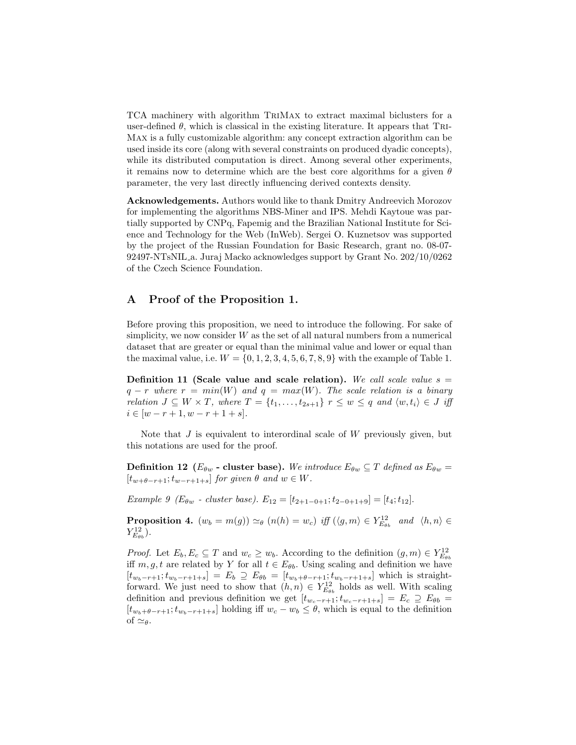TCA machinery with algorithm TriMax to extract maximal biclusters for a user-defined  $\theta$ , which is classical in the existing literature. It appears that TRI-Max is a fully customizable algorithm: any concept extraction algorithm can be used inside its core (along with several constraints on produced dyadic concepts), while its distributed computation is direct. Among several other experiments, it remains now to determine which are the best core algorithms for a given  $\theta$ parameter, the very last directly influencing derived contexts density.

Acknowledgements. Authors would like to thank Dmitry Andreevich Morozov for implementing the algorithms NBS-Miner and IPS. Mehdi Kaytoue was partially supported by CNPq, Fapemig and the Brazilian National Institute for Science and Technology for the Web (InWeb). Sergei O. Kuznetsov was supported by the project of the Russian Foundation for Basic Research, grant no. 08-07- 92497-NTsNIL a. Juraj Macko acknowledges support by Grant No. 202/10/0262 of the Czech Science Foundation.

## A Proof of the Proposition 1.

Before proving this proposition, we need to introduce the following. For sake of simplicity, we now consider  $W$  as the set of all natural numbers from a numerical dataset that are greater or equal than the minimal value and lower or equal than the maximal value, i.e.  $W = \{0, 1, 2, 3, 4, 5, 6, 7, 8, 9\}$  with the example of Table 1.

Definition 11 (Scale value and scale relation). We call scale value  $s =$  $q - r$  where  $r = min(W)$  and  $q = max(W)$ . The scale relation is a binary relation  $J \subseteq W \times T$ , where  $T = \{t_1, \ldots, t_{2s+1}\}$   $r \leq w \leq q$  and  $\langle w, t_i \rangle \in J$  iff  $i \in [w - r + 1, w - r + 1 + s].$ 

Note that  $J$  is equivalent to interordinal scale of  $W$  previously given, but this notations are used for the proof.

**Definition 12** ( $E_{\theta w}$  - cluster base). We introduce  $E_{\theta w} \subseteq T$  defined as  $E_{\theta w} =$  $[t_{w+\theta-r+1}; t_{w-r+1+s}]$  for given  $\theta$  and  $w \in W$ .

Example 9 (E $_{\theta w}$  - cluster base).  $E_{12} = [t_{2+1-0+1}; t_{2-0+1+9}] = [t_4; t_{12}]$ .

**Proposition 4.**  $(w_b = m(g)) \simeq_{\theta} (n(h) = w_c)$  iff  $(\langle g, m \rangle \in Y_{E_{\theta b}}^{12}$  and  $\langle h, n \rangle \in$  $Y^{12}_{E_{\theta b}})$ .

*Proof.* Let  $E_b, E_c \subseteq T$  and  $w_c \geq w_b$ . According to the definition  $(g, m) \in Y_{E_{\theta b}}^{12}$ iff  $m, g, t$  are related by Y for all  $t \in E_{\theta b}$ . Using scaling and definition we have  $[t_{w_b-r+1}; t_{w_b-r+1+s}] = E_b \supseteq E_{\theta b} = [t_{w_b+\theta-r+1}; t_{w_b-r+1+s}]$  which is straightforward. We just need to show that  $(h, n) \in Y_{E_{\theta b}}^{12}$  holds as well. With scaling definition and previous definition we get  $[t_{w_c-r+1}; t_{w_c-r+1+s}] = E_c \supseteq E_{\theta b}$  $[t_{w_b+\theta-r+1};t_{w_b-r+1+s}]$  holding iff  $w_c - w_b \leq \theta$ , which is equal to the definition of  $\simeq_{\theta}$ .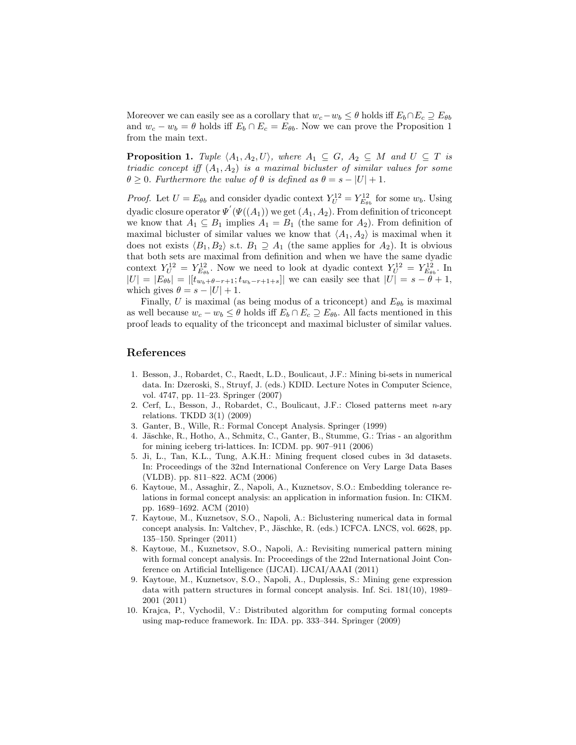Moreover we can easily see as a corollary that  $w_c-w_b \leq \theta$  holds iff  $E_b \cap E_c \supseteq E_{\theta b}$ and  $w_c - w_b = \theta$  holds iff  $E_b \cap E_c = E_{\theta b}$ . Now we can prove the Proposition 1 from the main text.

**Proposition 1.** Tuple  $\langle A_1, A_2, U \rangle$ , where  $A_1 \subseteq G$ ,  $A_2 \subseteq M$  and  $U \subseteq T$  is triadic concept iff  $(A_1, A_2)$  is a maximal bicluster of similar values for some  $\theta \geq 0$ . Furthermore the value of  $\theta$  is defined as  $\theta = s - |U| + 1$ .

*Proof.* Let  $U = E_{\theta b}$  and consider dyadic context  $Y_U^{12} = Y_{E_{\theta b}}^{12}$  for some  $w_b$ . Using dyadic closure operator  $\Psi'(\Psi((A_1))$  we get  $(A_1, A_2)$ . From definition of triconcept we know that  $A_1 \subseteq B_1$  implies  $A_1 = B_1$  (the same for  $A_2$ ). From definition of maximal bicluster of similar values we know that  $\langle A_1, A_2 \rangle$  is maximal when it does not exists  $\langle B_1, B_2 \rangle$  s.t.  $B_1 \supseteq A_1$  (the same applies for  $A_2$ ). It is obvious that both sets are maximal from definition and when we have the same dyadic context  $Y_U^{12} = Y_{E_{\theta b}}^{12}$ . Now we need to look at dyadic context  $Y_U^{12} = Y_{E_{\theta b}}^{12}$ . In  $|U| = |E_{\theta b}| = |[t_{w_b+\theta-r+1};t_{w_b-r+1+s}]|$  we can easily see that  $|U| = s - \theta + 1$ , which gives  $\theta = s - |U| + 1$ .

Finally, U is maximal (as being modus of a triconcept) and  $E_{\theta b}$  is maximal as well because  $w_c - w_b \leq \theta$  holds iff  $E_b \cap E_c \supseteq E_{\theta b}$ . All facts mentioned in this proof leads to equality of the triconcept and maximal bicluster of similar values.

#### References

- 1. Besson, J., Robardet, C., Raedt, L.D., Boulicaut, J.F.: Mining bi-sets in numerical data. In: Dzeroski, S., Struyf, J. (eds.) KDID. Lecture Notes in Computer Science, vol. 4747, pp. 11–23. Springer (2007)
- 2. Cerf, L., Besson, J., Robardet, C., Boulicaut, J.F.: Closed patterns meet n-ary relations. TKDD 3(1) (2009)
- 3. Ganter, B., Wille, R.: Formal Concept Analysis. Springer (1999)
- 4. Jäschke, R., Hotho, A., Schmitz, C., Ganter, B., Stumme, G.: Trias an algorithm for mining iceberg tri-lattices. In: ICDM. pp. 907–911 (2006)
- 5. Ji, L., Tan, K.L., Tung, A.K.H.: Mining frequent closed cubes in 3d datasets. In: Proceedings of the 32nd International Conference on Very Large Data Bases (VLDB). pp. 811–822. ACM (2006)
- 6. Kaytoue, M., Assaghir, Z., Napoli, A., Kuznetsov, S.O.: Embedding tolerance relations in formal concept analysis: an application in information fusion. In: CIKM. pp. 1689–1692. ACM (2010)
- 7. Kaytoue, M., Kuznetsov, S.O., Napoli, A.: Biclustering numerical data in formal concept analysis. In: Valtchev, P., Jäschke, R. (eds.) ICFCA. LNCS, vol. 6628, pp. 135–150. Springer (2011)
- 8. Kaytoue, M., Kuznetsov, S.O., Napoli, A.: Revisiting numerical pattern mining with formal concept analysis. In: Proceedings of the 22nd International Joint Conference on Artificial Intelligence (IJCAI). IJCAI/AAAI (2011)
- 9. Kaytoue, M., Kuznetsov, S.O., Napoli, A., Duplessis, S.: Mining gene expression data with pattern structures in formal concept analysis. Inf. Sci. 181(10), 1989– 2001 (2011)
- 10. Krajca, P., Vychodil, V.: Distributed algorithm for computing formal concepts using map-reduce framework. In: IDA. pp. 333–344. Springer (2009)